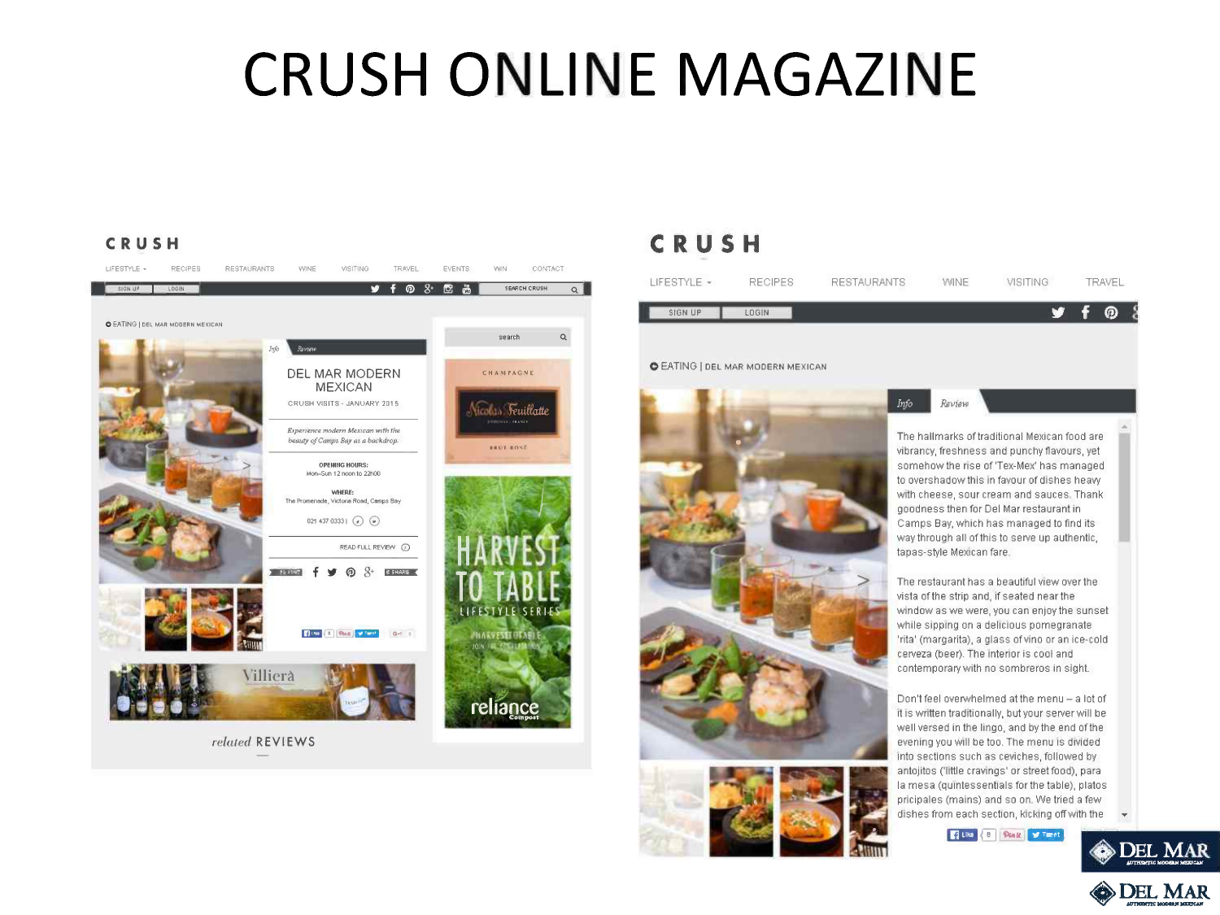# **CRUSH ONLINE MAGAZINE**

### **CRUSH**



## **CRUSH**

| LIFESTYLE + | <b>RECIPES</b> | <b>RESTAURANTS</b> | <b>WINE</b> | <b>VISITING</b> | <b>TRAVEL</b> |  |
|-------------|----------------|--------------------|-------------|-----------------|---------------|--|
| SIGN UP     | LOGIN.         |                    |             | r 7             | Ω             |  |
|             |                |                    |             |                 |               |  |

Info

Review

#### o EATING I DEL MAR MODERN MEXICAN





The hallmarks of traditional Mexican food are vibrancy, freshness and punchy flavours, yet somehow the nse of 'Tex-Mex' has managed to overshadow this In favour of dishes heavy with cheese, sour cream and sauces Thank goodness then for Del Mar restaurant in Camps Bay, which has managed to find its way through all of this to serve up authentic, tapas-style Mexican fare.

The restaurant has a beautiful view over the vista of the strip and, if seated near the window as we were, you can enjoy the sunset while sipping on a delicious pomegranate 'rita' (margarita), a glass of vino or an ice-cold cerveza (beer). The interior is cool and contemporary with no sombreros in sight.

Don't feel overwhelmed at the menu - a lot of It is written traditionally, but your server will be well versed in the lingo, and by the end of the evening you will be too. The menu is divided Into sections such as ceviches, followed by antojitos ('little cravings' or street food), para la mesa (qumtessentials for the table), plates pricipales (mains) and so on We tried a few dishes from each section, kicking off with the

**f** Like  $\left\{ 8 \right\}$  Plant **y** Timet



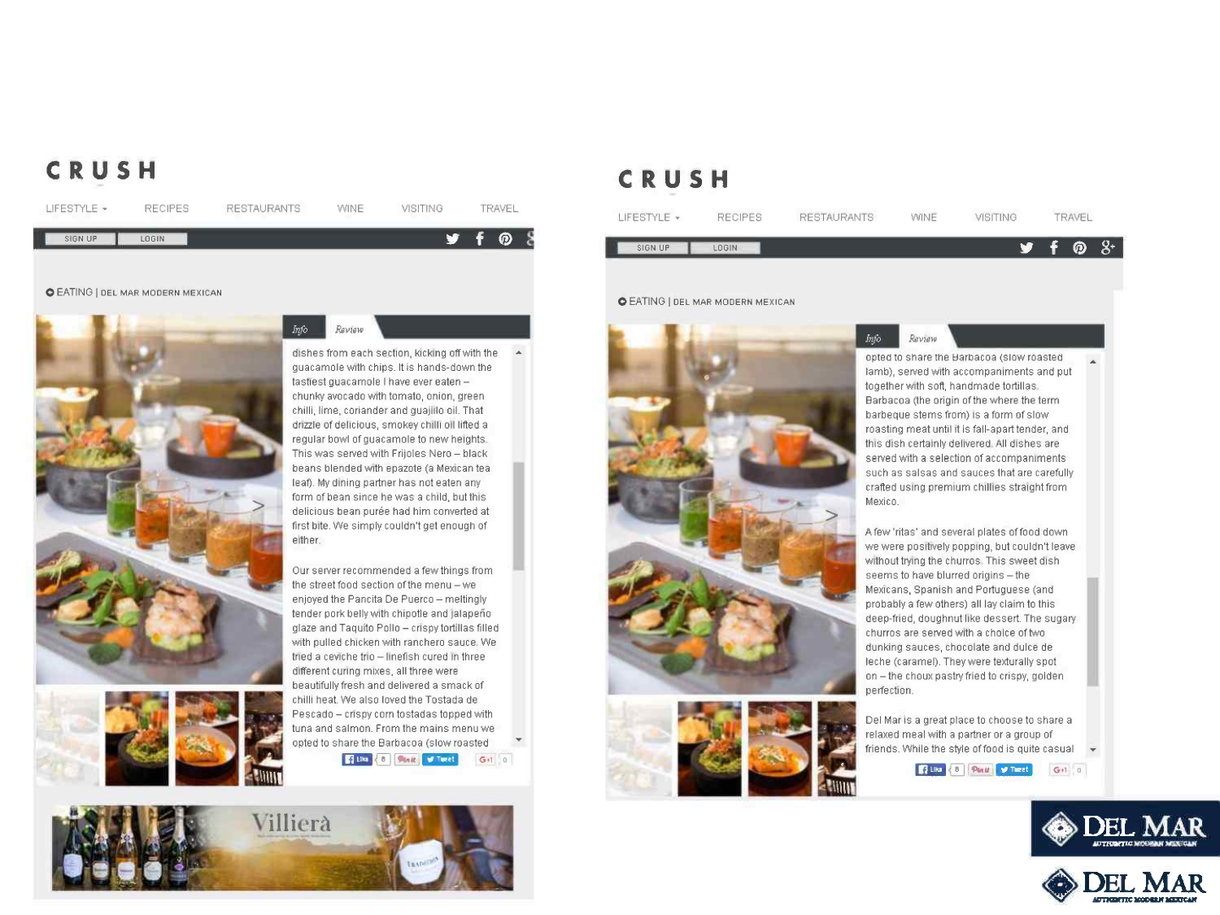## **CRUSH**

| LIFESTYLE + | <b>RECIPES</b> | <b>RESTAURANTS</b> | WINE<br>$\sim$ | VISITING | TRAVEL |  |
|-------------|----------------|--------------------|----------------|----------|--------|--|
| SIGN UP     | <b>BGIN</b>    |                    |                | w        | ⊚      |  |

#### **O EATING | DEL MAR MODERN MEXICAN**







Review

Our sarver recommended a few things from the street food section of the menu - we enjoyed the Pancita De Puerco - meltingly tender pork belly with chipotle and jalapeño glaze and Taquito Pollo - crispy tortillas filled with pulled chicken with ranchero sauce. We tried a ceviche trio - linefish cured in three different curing mixes, all three were beautifully fresh and delivered a smack of chilli heat. We also loved the Tostada de Pescado - crispy corn tostadas topped with tuna and salmon. From the mains menu we opted to share the Barbacoa (slow roasted **Rightline** & **Bridge Gold Collection** 



## **CRUSH**

| LIFESTYLE + | <b>RECIPES</b> | RESTAURANTS | WINE | VISITING |              | TRAVEL |       |
|-------------|----------------|-------------|------|----------|--------------|--------|-------|
| SIGN UP     | LOGIN.         |             |      |          | <b>y</b> f @ |        | $-8+$ |
|             |                |             |      |          |              |        |       |

Info

Review

#### **O EATING | DEL MAR MODERN MEXICAN**





opted to share the Harbacoa (slow roasted Iamb), served with accompaniments and put together with soft, handmade tortillas Barbacoa (the origin of the where the term barbeque stems from) IS a form of slow roasting meat until It is fall-apart tender, and this dish certainly delivered All dishes are served with a selection of accompaniments such as salsas and sauces that are carefully crafted usmq premium chillies straight from Mexico.

A few 'ritas' and several plates of food down we were positively popping, but couldn't leave without trying the churros. This sweet dish seems to have blurred origins - the Mexicans, Spanish and Portuguese (and probably a few others) all lay claim to this deep-fried, doughnut like dessert. The sugary churros are served with a choice of two dunking sauces, chocolate and dulce de leche (caramel). They were texturally spot on - the choux pastry fried to crispy, golden perfection.

Del Mar IS a great place to choose to share a relaxed meal with a partner or a group of friends. While the style of food is quite casual  $\rightarrow$ 

**R** Like  $\begin{pmatrix} 8 \\ 1 \end{pmatrix}$  Plant  $\begin{pmatrix} 9 \\ 1 \end{pmatrix}$  Then  $\begin{pmatrix} 1 & 0 \\ 0 & 1 \end{pmatrix}$